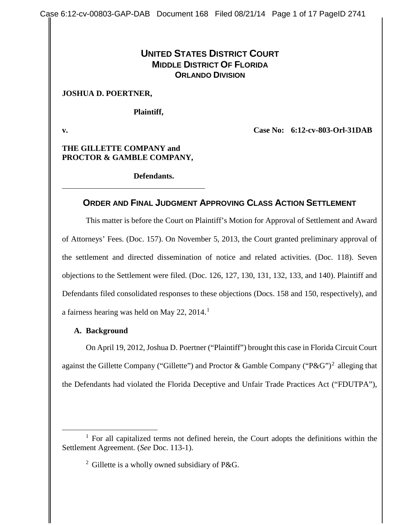## **UNITED STATES DISTRICT COURT MIDDLE DISTRICT OF FLORIDA ORLANDO DIVISION**

#### **JOSHUA D. POERTNER,**

**Plaintiff,**

**v. Case No: 6:12-cv-803-Orl-31DAB**

**THE GILLETTE COMPANY and PROCTOR & GAMBLE COMPANY,**

**Defendants.**

## **ORDER AND FINAL JUDGMENT APPROVING CLASS ACTION SETTLEMENT**

This matter is before the Court on Plaintiff's Motion for Approval of Settlement and Award of Attorneys' Fees. (Doc. 157). On November 5, 2013, the Court granted preliminary approval of the settlement and directed dissemination of notice and related activities. (Doc. 118). Seven objections to the Settlement were filed. (Doc. 126, 127, 130, 131, 132, 133, and 140). Plaintiff and Defendants filed consolidated responses to these objections (Docs. 158 and 150, respectively), and a fairness hearing was held on May 22,  $2014<sup>1</sup>$  $2014<sup>1</sup>$  $2014<sup>1</sup>$ 

#### **A. Background**

 $\overline{a}$ 

On April 19, 2012, Joshua D. Poertner ("Plaintiff") brought this case in Florida Circuit Court against the Gillette Company ("Gillette") and Proctor & Gamble Company ("P&G")<sup>[2](#page-0-1)</sup> alleging that the Defendants had violated the Florida Deceptive and Unfair Trade Practices Act ("FDUTPA"),

<span id="page-0-1"></span><span id="page-0-0"></span> $1$  For all capitalized terms not defined herein, the Court adopts the definitions within the Settlement Agreement. (*See* Doc. 113-1).

<sup>2</sup> Gillette is a wholly owned subsidiary of P&G.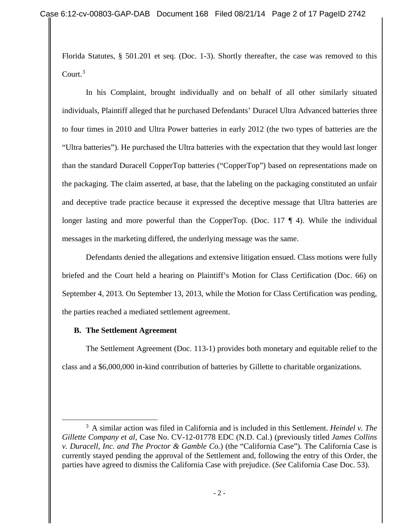Florida Statutes, § 501.201 et seq. (Doc. 1-3). Shortly thereafter, the case was removed to this Court. $3$ 

In his Complaint, brought individually and on behalf of all other similarly situated individuals, Plaintiff alleged that he purchased Defendants' Duracel Ultra Advanced batteries three to four times in 2010 and Ultra Power batteries in early 2012 (the two types of batteries are the "Ultra batteries"). He purchased the Ultra batteries with the expectation that they would last longer than the standard Duracell CopperTop batteries ("CopperTop") based on representations made on the packaging. The claim asserted, at base, that the labeling on the packaging constituted an unfair and deceptive trade practice because it expressed the deceptive message that Ultra batteries are longer lasting and more powerful than the CopperTop. (Doc. 117 ¶ 4). While the individual messages in the marketing differed, the underlying message was the same.

Defendants denied the allegations and extensive litigation ensued. Class motions were fully briefed and the Court held a hearing on Plaintiff's Motion for Class Certification (Doc. 66) on September 4, 2013. On September 13, 2013, while the Motion for Class Certification was pending, the parties reached a mediated settlement agreement.

## **B. The Settlement Agreement**

 $\overline{a}$ 

The Settlement Agreement (Doc. 113-1) provides both monetary and equitable relief to the class and a \$6,000,000 in-kind contribution of batteries by Gillette to charitable organizations.

<span id="page-1-0"></span><sup>3</sup> A similar action was filed in California and is included in this Settlement. *Heindel v. The Gillette Company et al*, Case No. CV-12-01778 EDC (N.D. Cal.) (previously titled *James Collins v. Duracell, Inc. and The Proctor & Gamble Co.*) (the "California Case"). The California Case is currently stayed pending the approval of the Settlement and, following the entry of this Order, the parties have agreed to dismiss the California Case with prejudice. (*See* California Case Doc. 53).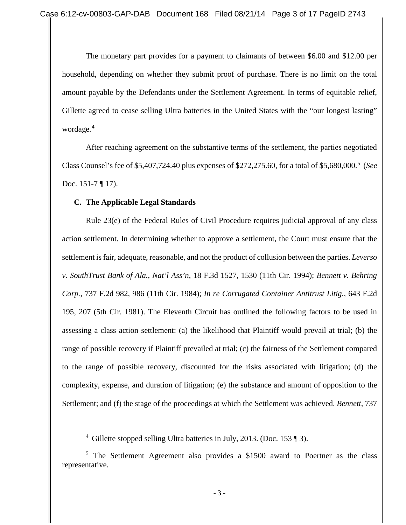The monetary part provides for a payment to claimants of between \$6.00 and \$12.00 per household, depending on whether they submit proof of purchase. There is no limit on the total amount payable by the Defendants under the Settlement Agreement. In terms of equitable relief, Gillette agreed to cease selling Ultra batteries in the United States with the "our longest lasting" wordage.<sup>[4](#page-2-0)</sup>

After reaching agreement on the substantive terms of the settlement, the parties negotiated Class Counsel's fee of \$5,407,724.40 plus expenses of \$272,275.60, for a total of \$5,680,000.[5](#page-2-1) (*See* Doc. 151-7 ¶ 17).

## **C. The Applicable Legal Standards**

<span id="page-2-0"></span> $\overline{a}$ 

Rule 23(e) of the Federal Rules of Civil Procedure requires judicial approval of any class action settlement. In determining whether to approve a settlement, the Court must ensure that the settlement is fair, adequate, reasonable, and not the product of collusion between the parties. *Leverso v. SouthTrust Bank of Ala., Nat'l Ass'n*, 18 F.3d 1527, 1530 (11th Cir. 1994); *Bennett v. Behring Corp.*, 737 F.2d 982, 986 (11th Cir. 1984); *In re Corrugated Container Antitrust Litig.*, 643 F.2d 195, 207 (5th Cir. 1981). The Eleventh Circuit has outlined the following factors to be used in assessing a class action settlement: (a) the likelihood that Plaintiff would prevail at trial; (b) the range of possible recovery if Plaintiff prevailed at trial; (c) the fairness of the Settlement compared to the range of possible recovery, discounted for the risks associated with litigation; (d) the complexity, expense, and duration of litigation; (e) the substance and amount of opposition to the Settlement; and (f) the stage of the proceedings at which the Settlement was achieved. *Bennett*, 737

<sup>&</sup>lt;sup>4</sup> Gillette stopped selling Ultra batteries in July, 2013. (Doc. 153 ¶ 3).

<span id="page-2-1"></span><sup>&</sup>lt;sup>5</sup> The Settlement Agreement also provides a \$1500 award to Poertner as the class representative.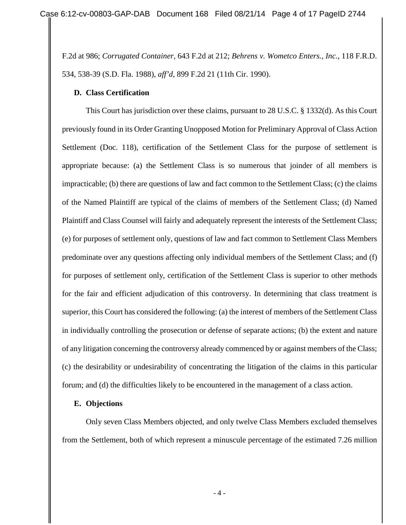F.2d at 986; *Corrugated Container*, 643 F.2d at 212; *Behrens v. Wometco Enters., Inc.*, 118 F.R.D. 534, 538-39 (S.D. Fla. 1988), *aff'd*, 899 F.2d 21 (11th Cir. 1990).

## **D. Class Certification**

This Court has jurisdiction over these claims, pursuant to 28 U.S.C. § 1332(d). As this Court previously found in its Order Granting Unopposed Motion for Preliminary Approval of Class Action Settlement (Doc. 118), certification of the Settlement Class for the purpose of settlement is appropriate because: (a) the Settlement Class is so numerous that joinder of all members is impracticable; (b) there are questions of law and fact common to the Settlement Class; (c) the claims of the Named Plaintiff are typical of the claims of members of the Settlement Class; (d) Named Plaintiff and Class Counsel will fairly and adequately represent the interests of the Settlement Class; (e) for purposes of settlement only, questions of law and fact common to Settlement Class Members predominate over any questions affecting only individual members of the Settlement Class; and (f) for purposes of settlement only, certification of the Settlement Class is superior to other methods for the fair and efficient adjudication of this controversy. In determining that class treatment is superior, this Court has considered the following: (a) the interest of members of the Settlement Class in individually controlling the prosecution or defense of separate actions; (b) the extent and nature of any litigation concerning the controversy already commenced by or against members of the Class; (c) the desirability or undesirability of concentrating the litigation of the claims in this particular forum; and (d) the difficulties likely to be encountered in the management of a class action.

## **E. Objections**

Only seven Class Members objected, and only twelve Class Members excluded themselves from the Settlement, both of which represent a minuscule percentage of the estimated 7.26 million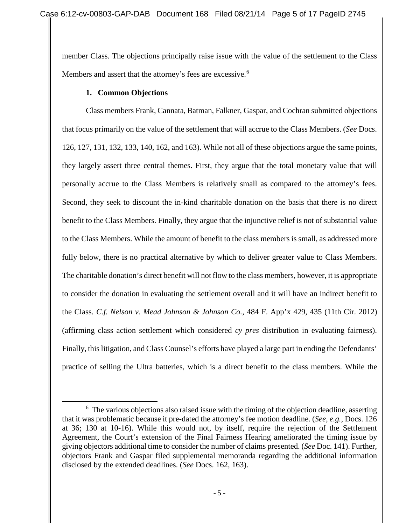member Class. The objections principally raise issue with the value of the settlement to the Class Members and assert that the attorney's fees are excessive.<sup>[6](#page-4-0)</sup>

## **1. Common Objections**

 $\overline{a}$ 

Class members Frank, Cannata, Batman, Falkner, Gaspar, and Cochran submitted objections that focus primarily on the value of the settlement that will accrue to the Class Members. (*See* Docs. 126, 127, 131, 132, 133, 140, 162, and 163). While not all of these objections argue the same points, they largely assert three central themes. First, they argue that the total monetary value that will personally accrue to the Class Members is relatively small as compared to the attorney's fees. Second, they seek to discount the in-kind charitable donation on the basis that there is no direct benefit to the Class Members. Finally, they argue that the injunctive relief is not of substantial value to the Class Members. While the amount of benefit to the class members is small, as addressed more fully below, there is no practical alternative by which to deliver greater value to Class Members. The charitable donation's direct benefit will not flow to the class members, however, it is appropriate to consider the donation in evaluating the settlement overall and it will have an indirect benefit to the Class. *C.f. Nelson v. Mead Johnson & Johnson Co.*, 484 F. App'x 429, 435 (11th Cir. 2012) (affirming class action settlement which considered *cy pres* distribution in evaluating fairness). Finally, this litigation, and Class Counsel's efforts have played a large part in ending the Defendants' practice of selling the Ultra batteries, which is a direct benefit to the class members. While the

<span id="page-4-0"></span> $6\text{ The various objections also raised issue with the timing of the objection deadline, asserting}$ that it was problematic because it pre-dated the attorney's fee motion deadline. (*See, e.g.*, Docs. 126 at 36; 130 at 10-16). While this would not, by itself, require the rejection of the Settlement Agreement, the Court's extension of the Final Fairness Hearing ameliorated the timing issue by giving objectors additional time to consider the number of claims presented. (*See* Doc. 141). Further, objectors Frank and Gaspar filed supplemental memoranda regarding the additional information disclosed by the extended deadlines. (*See* Docs. 162, 163).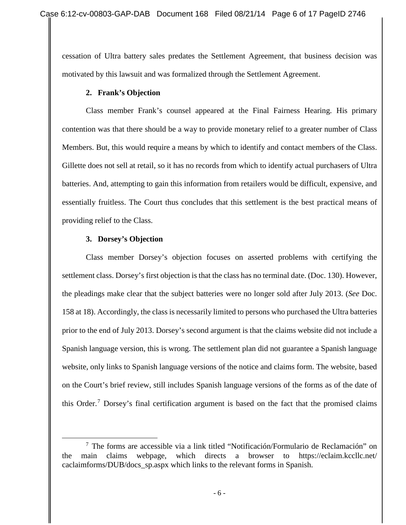cessation of Ultra battery sales predates the Settlement Agreement, that business decision was motivated by this lawsuit and was formalized through the Settlement Agreement.

## **2. Frank's Objection**

Class member Frank's counsel appeared at the Final Fairness Hearing. His primary contention was that there should be a way to provide monetary relief to a greater number of Class Members. But, this would require a means by which to identify and contact members of the Class. Gillette does not sell at retail, so it has no records from which to identify actual purchasers of Ultra batteries. And, attempting to gain this information from retailers would be difficult, expensive, and essentially fruitless. The Court thus concludes that this settlement is the best practical means of providing relief to the Class.

## **3. Dorsey's Objection**

Class member Dorsey's objection focuses on asserted problems with certifying the settlement class. Dorsey's first objection is that the class has no terminal date. (Doc. 130). However, the pleadings make clear that the subject batteries were no longer sold after July 2013. (*See* Doc. 158 at 18). Accordingly, the class is necessarily limited to persons who purchased the Ultra batteries prior to the end of July 2013. Dorsey's second argument is that the claims website did not include a Spanish language version, this is wrong. The settlement plan did not guarantee a Spanish language website, only links to Spanish language versions of the notice and claims form. The website, based on the Court's brief review, still includes Spanish language versions of the forms as of the date of this Order.<sup>[7](#page-5-0)</sup> Dorsey's final certification argument is based on the fact that the promised claims

<span id="page-5-0"></span><sup>7</sup> The forms are accessible via a link titled "Notificación/Formulario de Reclamación" on the main claims webpage, which directs a browser to https://eclaim.kccllc.net/ caclaimforms/DUB/docs\_sp.aspx which links to the relevant forms in Spanish.  $\overline{a}$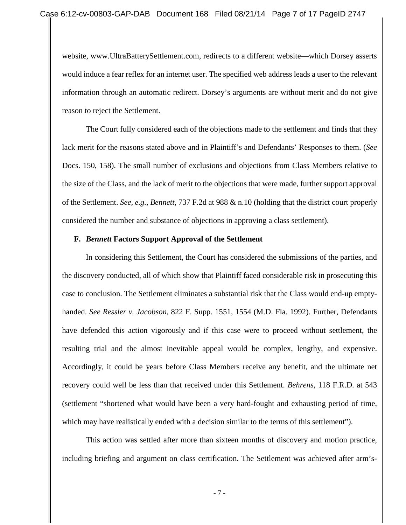website, www.UltraBatterySettlement.com, redirects to a different website—which Dorsey asserts would induce a fear reflex for an internet user. The specified web address leads a user to the relevant information through an automatic redirect. Dorsey's arguments are without merit and do not give reason to reject the Settlement.

The Court fully considered each of the objections made to the settlement and finds that they lack merit for the reasons stated above and in Plaintiff's and Defendants' Responses to them. (*See* Docs. 150, 158). The small number of exclusions and objections from Class Members relative to the size of the Class, and the lack of merit to the objections that were made, further support approval of the Settlement. *See, e.g., Bennett*, 737 F.2d at 988 & n.10 (holding that the district court properly considered the number and substance of objections in approving a class settlement).

#### **F.** *Bennett* **Factors Support Approval of the Settlement**

In considering this Settlement, the Court has considered the submissions of the parties, and the discovery conducted, all of which show that Plaintiff faced considerable risk in prosecuting this case to conclusion. The Settlement eliminates a substantial risk that the Class would end-up emptyhanded. *See Ressler v. Jacobson*, 822 F. Supp. 1551, 1554 (M.D. Fla. 1992). Further, Defendants have defended this action vigorously and if this case were to proceed without settlement, the resulting trial and the almost inevitable appeal would be complex, lengthy, and expensive. Accordingly, it could be years before Class Members receive any benefit, and the ultimate net recovery could well be less than that received under this Settlement. *Behrens*, 118 F.R.D. at 543 (settlement "shortened what would have been a very hard-fought and exhausting period of time, which may have realistically ended with a decision similar to the terms of this settlement").

This action was settled after more than sixteen months of discovery and motion practice, including briefing and argument on class certification. The Settlement was achieved after arm's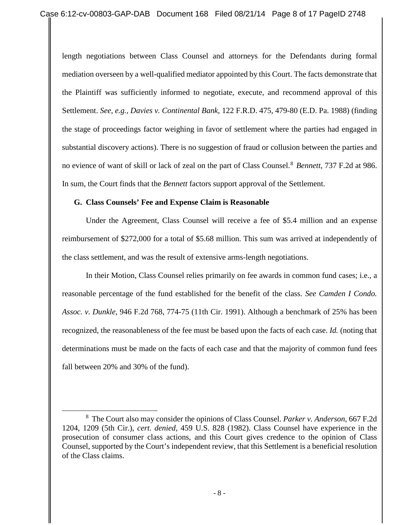length negotiations between Class Counsel and attorneys for the Defendants during formal mediation overseen by a well-qualified mediator appointed by this Court. The facts demonstrate that the Plaintiff was sufficiently informed to negotiate, execute, and recommend approval of this Settlement. *See, e.g., Davies v. Continental Bank*, 122 F.R.D. 475, 479-80 (E.D. Pa. 1988) (finding the stage of proceedings factor weighing in favor of settlement where the parties had engaged in substantial discovery actions). There is no suggestion of fraud or collusion between the parties and no evience of want of skill or lack of zeal on the part of Class Counsel.[8](#page-7-0) *Bennett*, 737 F.2d at 986. In sum, the Court finds that the *Bennett* factors support approval of the Settlement.

## **G. Class Counsels' Fee and Expense Claim is Reasonable**

 $\overline{a}$ 

Under the Agreement, Class Counsel will receive a fee of \$5.4 million and an expense reimbursement of \$272,000 for a total of \$5.68 million. This sum was arrived at independently of the class settlement, and was the result of extensive arms-length negotiations.

In their Motion, Class Counsel relies primarily on fee awards in common fund cases; i.e., a reasonable percentage of the fund established for the benefit of the class. *See Camden I Condo. Assoc. v. Dunkle*, 946 F.2d 768, 774-75 (11th Cir. 1991). Although a benchmark of 25% has been recognized, the reasonableness of the fee must be based upon the facts of each case. *Id.* (noting that determinations must be made on the facts of each case and that the majority of common fund fees fall between 20% and 30% of the fund).

<span id="page-7-0"></span><sup>8</sup> The Court also may consider the opinions of Class Counsel. *Parker v. Anderson,* 667 F.2d 1204, 1209 (5th Cir.), *cert. denied*, 459 U.S. 828 (1982). Class Counsel have experience in the prosecution of consumer class actions, and this Court gives credence to the opinion of Class Counsel, supported by the Court's independent review, that this Settlement is a beneficial resolution of the Class claims.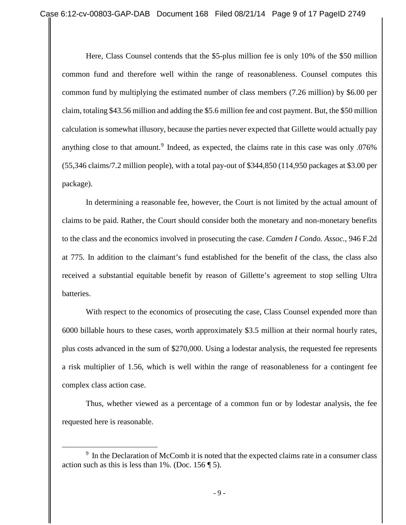Here, Class Counsel contends that the \$5-plus million fee is only 10% of the \$50 million common fund and therefore well within the range of reasonableness. Counsel computes this common fund by multiplying the estimated number of class members (7.26 million) by \$6.00 per claim, totaling \$43.56 million and adding the \$5.6 million fee and cost payment. But, the \$50 million calculation is somewhat illusory, because the parties never expected that Gillette would actually pay anything close to that amount.<sup>[9](#page-8-0)</sup> Indeed, as expected, the claims rate in this case was only  $.076\%$ (55,346 claims/7.2 million people), with a total pay-out of \$344,850 (114,950 packages at \$3.00 per package).

In determining a reasonable fee, however, the Court is not limited by the actual amount of claims to be paid. Rather, the Court should consider both the monetary and non-monetary benefits to the class and the economics involved in prosecuting the case. *Camden I Condo. Assoc.*, 946 F.2d at 775. In addition to the claimant's fund established for the benefit of the class, the class also received a substantial equitable benefit by reason of Gillette's agreement to stop selling Ultra batteries.

With respect to the economics of prosecuting the case, Class Counsel expended more than 6000 billable hours to these cases, worth approximately \$3.5 million at their normal hourly rates, plus costs advanced in the sum of \$270,000. Using a lodestar analysis, the requested fee represents a risk multiplier of 1.56, which is well within the range of reasonableness for a contingent fee complex class action case.

Thus, whether viewed as a percentage of a common fun or by lodestar analysis, the fee requested here is reasonable.

 $\overline{a}$ 

<span id="page-8-0"></span><sup>&</sup>lt;sup>9</sup> In the Declaration of McComb it is noted that the expected claims rate in a consumer class action such as this is less than  $1\%$ . (Doc. 156  $\P$  5).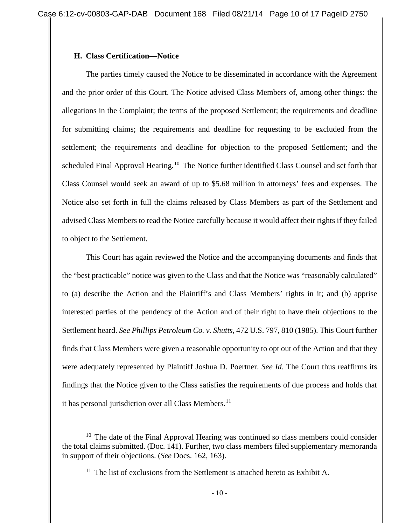## **H. Class Certification—Notice**

 $\overline{a}$ 

The parties timely caused the Notice to be disseminated in accordance with the Agreement and the prior order of this Court. The Notice advised Class Members of, among other things: the allegations in the Complaint; the terms of the proposed Settlement; the requirements and deadline for submitting claims; the requirements and deadline for requesting to be excluded from the settlement; the requirements and deadline for objection to the proposed Settlement; and the scheduled Final Approval Hearing.<sup>[10](#page-9-0)</sup> The Notice further identified Class Counsel and set forth that Class Counsel would seek an award of up to \$5.68 million in attorneys' fees and expenses. The Notice also set forth in full the claims released by Class Members as part of the Settlement and advised Class Members to read the Notice carefully because it would affect their rights if they failed to object to the Settlement.

This Court has again reviewed the Notice and the accompanying documents and finds that the "best practicable" notice was given to the Class and that the Notice was "reasonably calculated" to (a) describe the Action and the Plaintiff's and Class Members' rights in it; and (b) apprise interested parties of the pendency of the Action and of their right to have their objections to the Settlement heard. *See Phillips Petroleum Co. v. Shutts*, 472 U.S. 797, 810 (1985). This Court further finds that Class Members were given a reasonable opportunity to opt out of the Action and that they were adequately represented by Plaintiff Joshua D. Poertner. *See Id*. The Court thus reaffirms its findings that the Notice given to the Class satisfies the requirements of due process and holds that it has personal jurisdiction over all Class Members.<sup>[11](#page-9-1)</sup>

<span id="page-9-1"></span><span id="page-9-0"></span> $10$  The date of the Final Approval Hearing was continued so class members could consider the total claims submitted. (Doc. 141). Further, two class members filed supplementary memoranda in support of their objections. (*See* Docs. 162, 163).

 $11$  The list of exclusions from the Settlement is attached hereto as Exhibit A.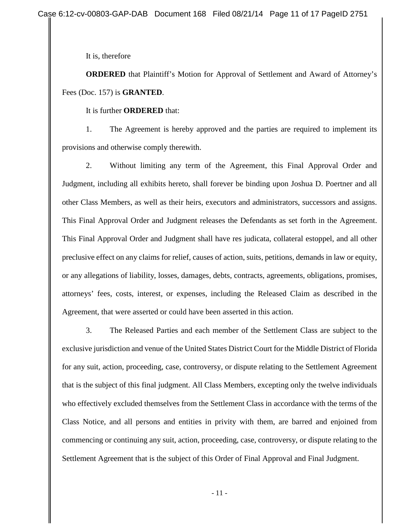It is, therefore

**ORDERED** that Plaintiff's Motion for Approval of Settlement and Award of Attorney's Fees (Doc. 157) is **GRANTED**.

#### It is further **ORDERED** that:

1. The Agreement is hereby approved and the parties are required to implement its provisions and otherwise comply therewith.

2. Without limiting any term of the Agreement, this Final Approval Order and Judgment, including all exhibits hereto, shall forever be binding upon Joshua D. Poertner and all other Class Members, as well as their heirs, executors and administrators, successors and assigns. This Final Approval Order and Judgment releases the Defendants as set forth in the Agreement. This Final Approval Order and Judgment shall have res judicata, collateral estoppel, and all other preclusive effect on any claims for relief, causes of action, suits, petitions, demands in law or equity, or any allegations of liability, losses, damages, debts, contracts, agreements, obligations, promises, attorneys' fees, costs, interest, or expenses, including the Released Claim as described in the Agreement, that were asserted or could have been asserted in this action.

3. The Released Parties and each member of the Settlement Class are subject to the exclusive jurisdiction and venue of the United States District Court for the Middle District of Florida for any suit, action, proceeding, case, controversy, or dispute relating to the Settlement Agreement that is the subject of this final judgment. All Class Members, excepting only the twelve individuals who effectively excluded themselves from the Settlement Class in accordance with the terms of the Class Notice, and all persons and entities in privity with them, are barred and enjoined from commencing or continuing any suit, action, proceeding, case, controversy, or dispute relating to the Settlement Agreement that is the subject of this Order of Final Approval and Final Judgment.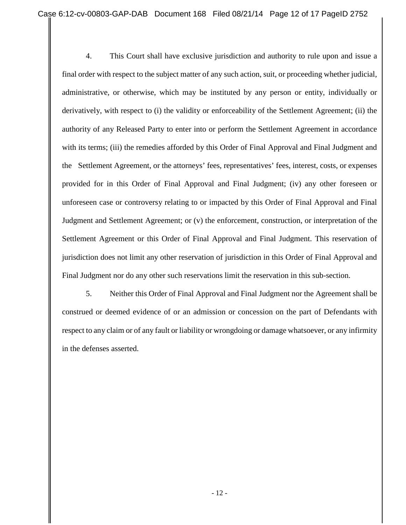4. This Court shall have exclusive jurisdiction and authority to rule upon and issue a final order with respect to the subject matter of any such action, suit, or proceeding whether judicial, administrative, or otherwise, which may be instituted by any person or entity, individually or derivatively, with respect to (i) the validity or enforceability of the Settlement Agreement; (ii) the authority of any Released Party to enter into or perform the Settlement Agreement in accordance with its terms; (iii) the remedies afforded by this Order of Final Approval and Final Judgment and the Settlement Agreement, or the attorneys' fees, representatives' fees, interest, costs, or expenses provided for in this Order of Final Approval and Final Judgment; (iv) any other foreseen or unforeseen case or controversy relating to or impacted by this Order of Final Approval and Final Judgment and Settlement Agreement; or (v) the enforcement, construction, or interpretation of the Settlement Agreement or this Order of Final Approval and Final Judgment. This reservation of jurisdiction does not limit any other reservation of jurisdiction in this Order of Final Approval and Final Judgment nor do any other such reservations limit the reservation in this sub-section.

5. Neither this Order of Final Approval and Final Judgment nor the Agreement shall be construed or deemed evidence of or an admission or concession on the part of Defendants with respect to any claim or of any fault or liability or wrongdoing or damage whatsoever, or any infirmity in the defenses asserted.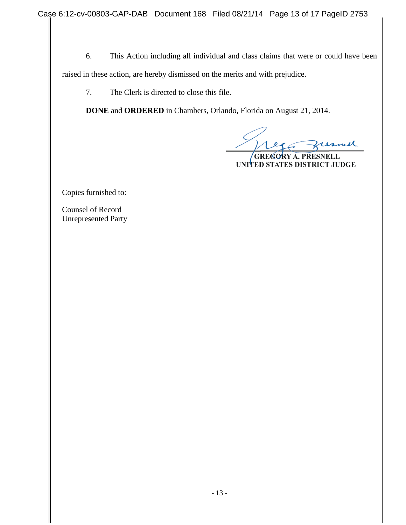6. This Action including all individual and class claims that were or could have been raised in these action, are hereby dismissed on the merits and with prejudice.

7. The Clerk is directed to close this file.

**DONE** and **ORDERED** in Chambers, Orlando, Florida on August 21, 2014.

ul

**GREGORY A. PRESNELL** UNITED STATES DISTRICT JUDGE

Copies furnished to:

Counsel of Record Unrepresented Party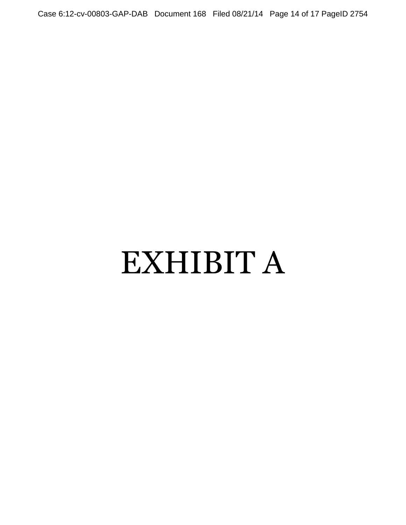Case 6:12-cv-00803-GAP-DAB Document 168 Filed 08/21/14 Page 14 of 17 PageID 2754

# EXHIBIT A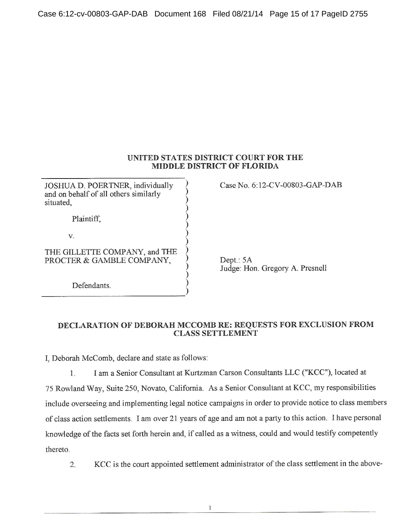#### UNITED STATES DISTRICT COURT FOR THE **MIDDLE DISTRICT OF FLORIDA**

JOSHUA D. POERTNER, individually and on behalf of all others similarly situated.

Plaintiff,

V.

THE GILLETTE COMPANY, and THE PROCTER & GAMBLE COMPANY,

Defendants.

Case No. 6:12-CV-00803-GAP-DAB

Dept.: 5A Judge: Hon. Gregory A. Presnell

#### DECLARATION OF DEBORAH MCCOMB RE: REQUESTS FOR EXCLUSION FROM **CLASS SETTLEMENT**

I, Deborah McComb, declare and state as follows:

I am a Senior Consultant at Kurtzman Carson Consultants LLC ("KCC"), located at  $1.$ 75 Rowland Way, Suite 250, Novato, California. As a Senior Consultant at KCC, my responsibilities include overseeing and implementing legal notice campaigns in order to provide notice to class members of class action settlements. I am over 21 years of age and am not a party to this action. I have personal knowledge of the facts set forth herein and, if called as a witness, could and would testify competently thereto.

KCC is the court appointed settlement administrator of the class settlement in the above- $\overline{2}$ .

 $\mathbf{1}$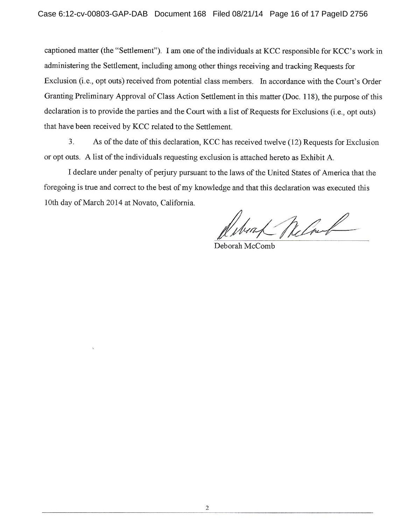captioned matter (the "Settlement"). I am one of the individuals at KCC responsible for KCC's work in administering the Settlement, including among other things receiving and tracking Requests for Exclusion (i.e., opt outs) received from potential class members. In accordance with the Court's Order Granting Preliminary Approval of Class Action Settlement in this matter (Doc. 118), the purpose of this declaration is to provide the parties and the Court with a list of Requests for Exclusions (i.e., opt outs) that have been received by KCC related to the Settlement.

As of the date of this declaration, KCC has received twelve (12) Requests for Exclusion  $3.$ or opt outs. A list of the individuals requesting exclusion is attached hereto as Exhibit A.

I declare under penalty of perjury pursuant to the laws of the United States of America that the foregoing is true and correct to the best of my knowledge and that this declaration was executed this 10th day of March 2014 at Novato, California.

Win Reland

Deborah McComb